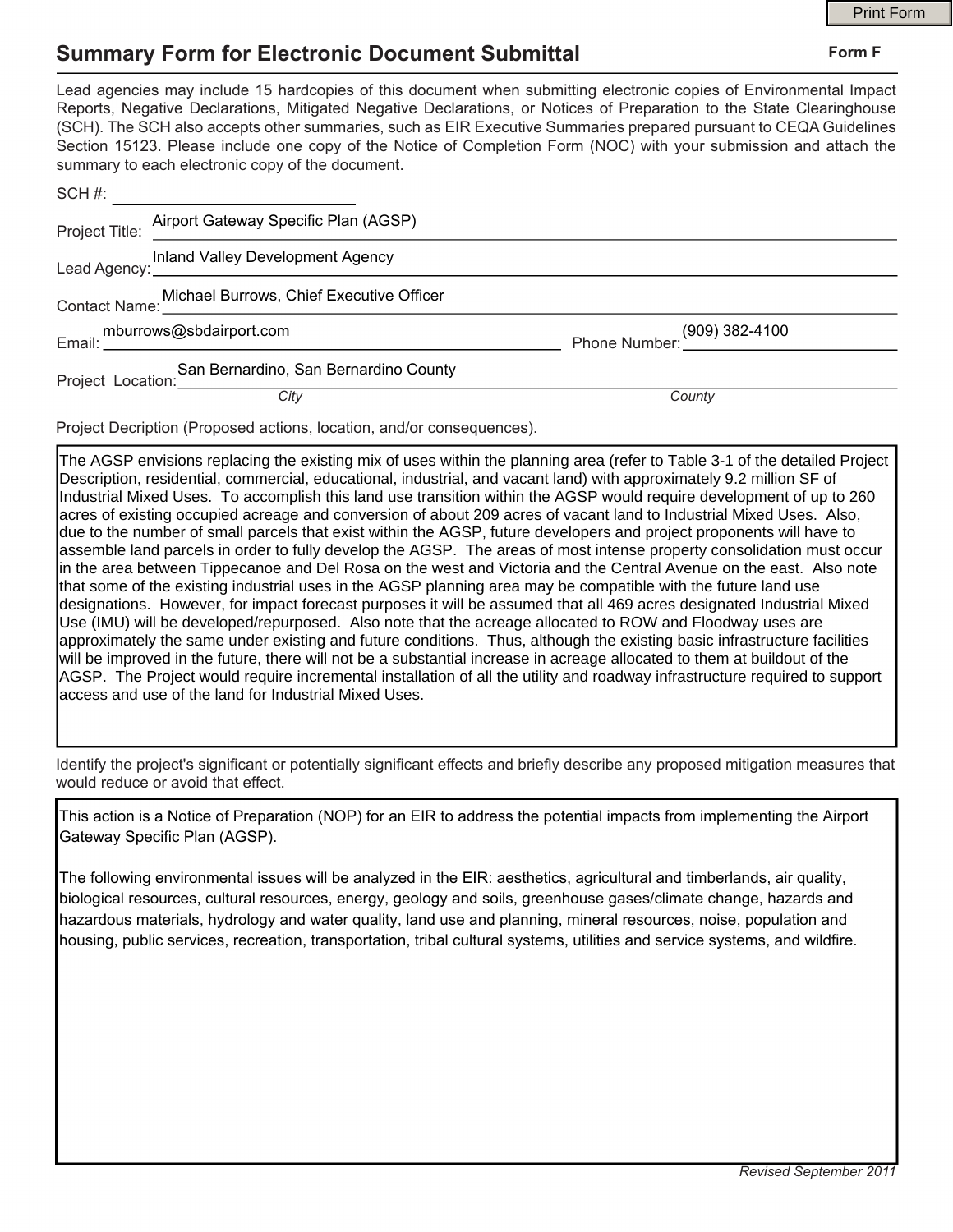## **Summary Form for Electronic Document Submittal**

|                                                                                                                                                                                                                                                                                                                                                                                                                                                                                                                                           | <b>Print Form</b>              |
|-------------------------------------------------------------------------------------------------------------------------------------------------------------------------------------------------------------------------------------------------------------------------------------------------------------------------------------------------------------------------------------------------------------------------------------------------------------------------------------------------------------------------------------------|--------------------------------|
| <b>Summary Form for Electronic Document Submittal</b>                                                                                                                                                                                                                                                                                                                                                                                                                                                                                     | Form F                         |
| Lead agencies may include 15 hardcopies of this document when submitting electronic copies of Environmental Impact<br>Reports, Negative Declarations, Mitigated Negative Declarations, or Notices of Preparation to the State Clearinghouse<br>(SCH). The SCH also accepts other summaries, such as EIR Executive Summaries prepared pursuant to CEQA Guidelines<br>Section 15123. Please include one copy of the Notice of Completion Form (NOC) with your submission and attach the<br>summary to each electronic copy of the document. |                                |
| $SCH \#:$                                                                                                                                                                                                                                                                                                                                                                                                                                                                                                                                 |                                |
| Project Title: Airport Gateway Specific Plan (AGSP)                                                                                                                                                                                                                                                                                                                                                                                                                                                                                       |                                |
| Inland Valley Development Agency<br>Lead Agency: The range Bevelopment Agency                                                                                                                                                                                                                                                                                                                                                                                                                                                             |                                |
| Contact Name: Michael Burrows, Chief Executive Officer                                                                                                                                                                                                                                                                                                                                                                                                                                                                                    |                                |
|                                                                                                                                                                                                                                                                                                                                                                                                                                                                                                                                           | 909) 382-4100<br>Phone Number: |
| Project Location: San Bernardino, San Bernardino County                                                                                                                                                                                                                                                                                                                                                                                                                                                                                   |                                |
|                                                                                                                                                                                                                                                                                                                                                                                                                                                                                                                                           | County                         |
| Project Decription (Proposed actions, location, and/or consequences).                                                                                                                                                                                                                                                                                                                                                                                                                                                                     |                                |

The AGSP envisions replacing the existing mix of uses within the planning area (refer to Table 3-1 of the detailed Project Description, residential, commercial, educational, industrial, and vacant land) with approximately 9.2 million SF of Industrial Mixed Uses. To accomplish this land use transition within the AGSP would require development of up to 260 acres of existing occupied acreage and conversion of about 209 acres of vacant land to Industrial Mixed Uses. Also, due to the number of small parcels that exist within the AGSP, future developers and project proponents will have to assemble land parcels in order to fully develop the AGSP. The areas of most intense property consolidation must occur in the area between Tippecanoe and Del Rosa on the west and Victoria and the Central Avenue on the east. Also note that some of the existing industrial uses in the AGSP planning area may be compatible with the future land use designations. However, for impact forecast purposes it will be assumed that all 469 acres designated Industrial Mixed Use (IMU) will be developed/repurposed. Also note that the acreage allocated to ROW and Floodway uses are approximately the same under existing and future conditions. Thus, although the existing basic infrastructure facilities will be improved in the future, there will not be a substantial increase in acreage allocated to them at buildout of the AGSP. The Project would require incremental installation of all the utility and roadway infrastructure required to support access and use of the land for Industrial Mixed Uses.

Identify the project's signifcant or potentially signifcant effects and briefy describe any proposed mitigation measures that would reduce or avoid that effect.

This action is a Notice of Preparation (NOP) for an EIR to address the potential impacts from implementing the Airport Gateway Specific Plan (AGSP).

The following environmental issues will be analyzed in the EIR: aesthetics, agricultural and timberlands, air quality, biological resources, cultural resources, energy, geology and soils, greenhouse gases/climate change, hazards and hazardous materials, hydrology and water quality, land use and planning, mineral resources, noise, population and housing, public services, recreation, transportation, tribal cultural systems, utilities and service systems, and wildfire.